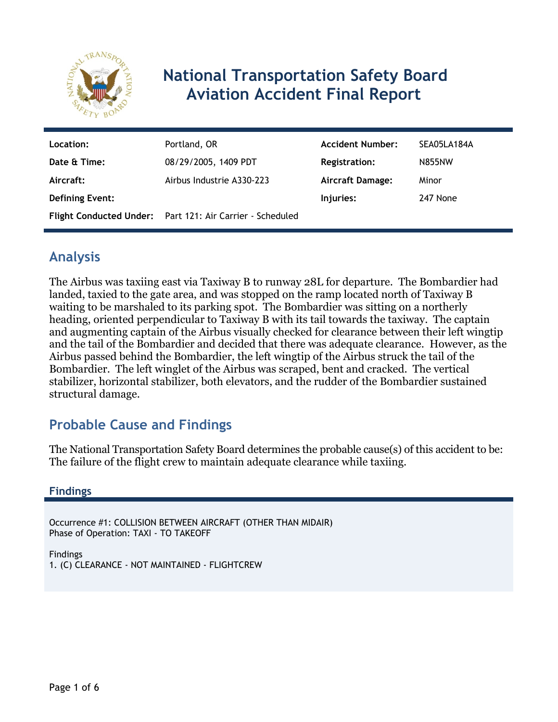

# **National Transportation Safety Board Aviation Accident Final Report**

| Location:              | Portland, OR                                              | <b>Accident Number:</b> | SEA05LA184A   |
|------------------------|-----------------------------------------------------------|-------------------------|---------------|
| Date & Time:           | 08/29/2005, 1409 PDT                                      | <b>Registration:</b>    | <b>N855NW</b> |
| Aircraft:              | Airbus Industrie A330-223                                 | <b>Aircraft Damage:</b> | Minor         |
| <b>Defining Event:</b> |                                                           | Injuries:               | 247 None      |
|                        | Flight Conducted Under: Part 121: Air Carrier - Scheduled |                         |               |

# **Analysis**

The Airbus was taxiing east via Taxiway B to runway 28L for departure. The Bombardier had landed, taxied to the gate area, and was stopped on the ramp located north of Taxiway B waiting to be marshaled to its parking spot. The Bombardier was sitting on a northerly heading, oriented perpendicular to Taxiway B with its tail towards the taxiway. The captain and augmenting captain of the Airbus visually checked for clearance between their left wingtip and the tail of the Bombardier and decided that there was adequate clearance. However, as the Airbus passed behind the Bombardier, the left wingtip of the Airbus struck the tail of the Bombardier. The left winglet of the Airbus was scraped, bent and cracked. The vertical stabilizer, horizontal stabilizer, both elevators, and the rudder of the Bombardier sustained structural damage.

# **Probable Cause and Findings**

The National Transportation Safety Board determines the probable cause(s) of this accident to be: The failure of the flight crew to maintain adequate clearance while taxiing.

#### **Findings**

Occurrence #1: COLLISION BETWEEN AIRCRAFT (OTHER THAN MIDAIR) Phase of Operation: TAXI - TO TAKEOFF

Findings 1. (C) CLEARANCE - NOT MAINTAINED - FLIGHTCREW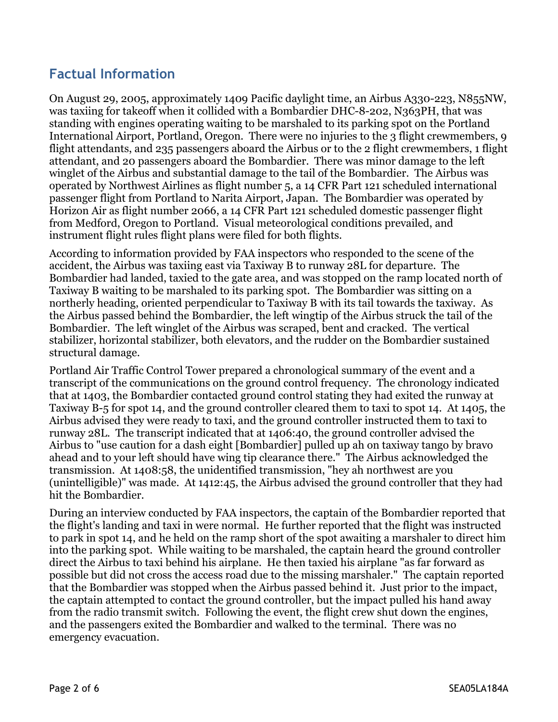## **Factual Information**

On August 29, 2005, approximately 1409 Pacific daylight time, an Airbus A330-223, N855NW, was taxiing for takeoff when it collided with a Bombardier DHC-8-202, N363PH, that was standing with engines operating waiting to be marshaled to its parking spot on the Portland International Airport, Portland, Oregon. There were no injuries to the 3 flight crewmembers, 9 flight attendants, and 235 passengers aboard the Airbus or to the 2 flight crewmembers, 1 flight attendant, and 20 passengers aboard the Bombardier. There was minor damage to the left winglet of the Airbus and substantial damage to the tail of the Bombardier. The Airbus was operated by Northwest Airlines as flight number 5, a 14 CFR Part 121 scheduled international passenger flight from Portland to Narita Airport, Japan. The Bombardier was operated by Horizon Air as flight number 2066, a 14 CFR Part 121 scheduled domestic passenger flight from Medford, Oregon to Portland. Visual meteorological conditions prevailed, and instrument flight rules flight plans were filed for both flights.

According to information provided by FAA inspectors who responded to the scene of the accident, the Airbus was taxiing east via Taxiway B to runway 28L for departure. The Bombardier had landed, taxied to the gate area, and was stopped on the ramp located north of Taxiway B waiting to be marshaled to its parking spot. The Bombardier was sitting on a northerly heading, oriented perpendicular to Taxiway B with its tail towards the taxiway. As the Airbus passed behind the Bombardier, the left wingtip of the Airbus struck the tail of the Bombardier. The left winglet of the Airbus was scraped, bent and cracked. The vertical stabilizer, horizontal stabilizer, both elevators, and the rudder on the Bombardier sustained structural damage.

Portland Air Traffic Control Tower prepared a chronological summary of the event and a transcript of the communications on the ground control frequency. The chronology indicated that at 1403, the Bombardier contacted ground control stating they had exited the runway at Taxiway B-5 for spot 14, and the ground controller cleared them to taxi to spot 14. At 1405, the Airbus advised they were ready to taxi, and the ground controller instructed them to taxi to runway 28L. The transcript indicated that at 1406:40, the ground controller advised the Airbus to "use caution for a dash eight [Bombardier] pulled up ah on taxiway tango by bravo ahead and to your left should have wing tip clearance there." The Airbus acknowledged the transmission. At 1408:58, the unidentified transmission, "hey ah northwest are you (unintelligible)" was made. At 1412:45, the Airbus advised the ground controller that they had hit the Bombardier.

During an interview conducted by FAA inspectors, the captain of the Bombardier reported that the flight's landing and taxi in were normal. He further reported that the flight was instructed to park in spot 14, and he held on the ramp short of the spot awaiting a marshaler to direct him into the parking spot. While waiting to be marshaled, the captain heard the ground controller direct the Airbus to taxi behind his airplane. He then taxied his airplane "as far forward as possible but did not cross the access road due to the missing marshaler." The captain reported that the Bombardier was stopped when the Airbus passed behind it. Just prior to the impact, the captain attempted to contact the ground controller, but the impact pulled his hand away from the radio transmit switch. Following the event, the flight crew shut down the engines, and the passengers exited the Bombardier and walked to the terminal. There was no emergency evacuation.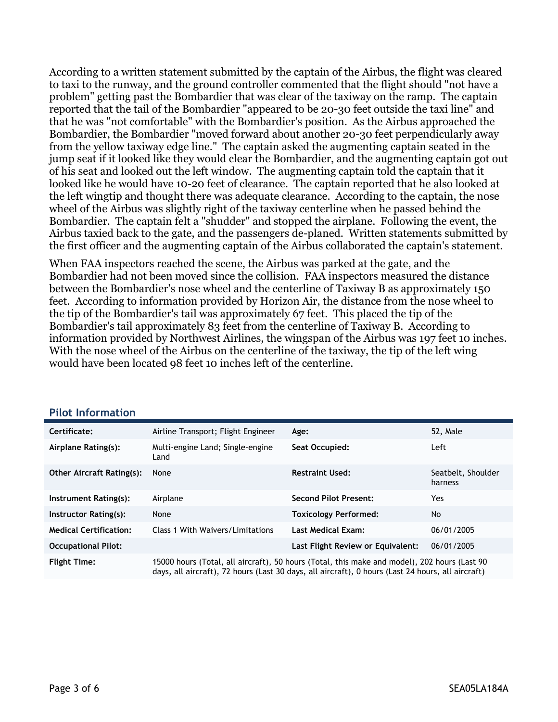According to a written statement submitted by the captain of the Airbus, the flight was cleared to taxi to the runway, and the ground controller commented that the flight should "not have a problem" getting past the Bombardier that was clear of the taxiway on the ramp. The captain reported that the tail of the Bombardier "appeared to be 20-30 feet outside the taxi line" and that he was "not comfortable" with the Bombardier's position. As the Airbus approached the Bombardier, the Bombardier "moved forward about another 20-30 feet perpendicularly away from the yellow taxiway edge line." The captain asked the augmenting captain seated in the jump seat if it looked like they would clear the Bombardier, and the augmenting captain got out of his seat and looked out the left window. The augmenting captain told the captain that it looked like he would have 10-20 feet of clearance. The captain reported that he also looked at the left wingtip and thought there was adequate clearance. According to the captain, the nose wheel of the Airbus was slightly right of the taxiway centerline when he passed behind the Bombardier. The captain felt a "shudder" and stopped the airplane. Following the event, the Airbus taxied back to the gate, and the passengers de-planed. Written statements submitted by the first officer and the augmenting captain of the Airbus collaborated the captain's statement.

When FAA inspectors reached the scene, the Airbus was parked at the gate, and the Bombardier had not been moved since the collision. FAA inspectors measured the distance between the Bombardier's nose wheel and the centerline of Taxiway B as approximately 150 feet. According to information provided by Horizon Air, the distance from the nose wheel to the tip of the Bombardier's tail was approximately 67 feet. This placed the tip of the Bombardier's tail approximately 83 feet from the centerline of Taxiway B. According to information provided by Northwest Airlines, the wingspan of the Airbus was 197 feet 10 inches. With the nose wheel of the Airbus on the centerline of the taxiway, the tip of the left wing would have been located 98 feet 10 inches left of the centerline.

| Certificate:                     | Airline Transport; Flight Engineer       | Age:                                                                                         | 52, Male                      |
|----------------------------------|------------------------------------------|----------------------------------------------------------------------------------------------|-------------------------------|
| Airplane Rating(s):              | Multi-engine Land; Single-engine<br>Land | Seat Occupied:                                                                               | Left                          |
| <b>Other Aircraft Rating(s):</b> | None                                     | <b>Restraint Used:</b>                                                                       | Seatbelt, Shoulder<br>harness |
| Instrument Rating(s):            | Airplane                                 | <b>Second Pilot Present:</b>                                                                 | Yes                           |
| Instructor Rating(s):            | None                                     | <b>Toxicology Performed:</b>                                                                 | <b>No</b>                     |
| <b>Medical Certification:</b>    | Class 1 With Waivers/Limitations         | <b>Last Medical Exam:</b>                                                                    | 06/01/2005                    |
| <b>Occupational Pilot:</b>       |                                          | Last Flight Review or Equivalent:                                                            | 06/01/2005                    |
| <b>Flight Time:</b>              |                                          | 15000 hours (Total, all aircraft), 50 hours (Total, this make and model), 202 hours (Last 90 |                               |

#### **Pilot Information**

days, all aircraft), 72 hours (Last 30 days, all aircraft), 0 hours (Last 24 hours, all aircraft)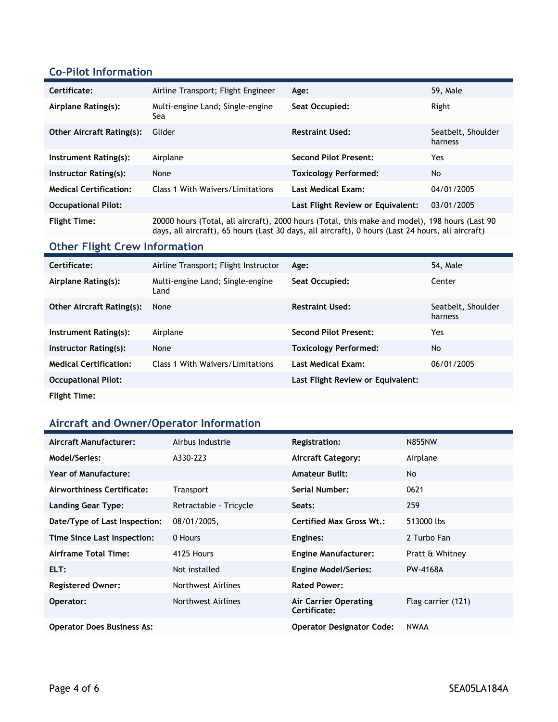#### **Co-Pilot Information**

| Certificate:                     | Airline Transport; Flight Engineer      | Age:                                                                                           | 59, Male                      |
|----------------------------------|-----------------------------------------|------------------------------------------------------------------------------------------------|-------------------------------|
| Airplane Rating(s):              | Multi-engine Land; Single-engine<br>Sea | Seat Occupied:                                                                                 | Right                         |
| <b>Other Aircraft Rating(s):</b> | Glider                                  | <b>Restraint Used:</b>                                                                         | Seatbelt, Shoulder<br>harness |
| Instrument Rating(s):            | Airplane                                | <b>Second Pilot Present:</b>                                                                   | Yes                           |
| Instructor Rating(s):            | None                                    | <b>Toxicology Performed:</b>                                                                   | No                            |
| <b>Medical Certification:</b>    | Class 1 With Waivers/Limitations        | <b>Last Medical Exam:</b>                                                                      | 04/01/2005                    |
| <b>Occupational Pilot:</b>       |                                         | Last Flight Review or Equivalent:                                                              | 03/01/2005                    |
| <b>Flight Time:</b>              |                                         | 20000 hours (Total, all aircraft), 2000 hours (Total, this make and model), 198 hours (Last 90 |                               |

days, all aircraft), 65 hours (Last 30 days, all aircraft), 0 hours (Last 24 hours, all aircraft)

## **Other Flight Crew Information**

| Certificate:                     | Airline Transport; Flight Instructor     | Age:                              | 54, Male                      |
|----------------------------------|------------------------------------------|-----------------------------------|-------------------------------|
| Airplane Rating(s):              | Multi-engine Land; Single-engine<br>Land | Seat Occupied:                    | Center                        |
| <b>Other Aircraft Rating(s):</b> | None                                     | <b>Restraint Used:</b>            | Seatbelt, Shoulder<br>harness |
| Instrument Rating(s):            | Airplane                                 | Second Pilot Present:             | Yes                           |
| Instructor Rating(s):            | None                                     | <b>Toxicology Performed:</b>      | No                            |
| <b>Medical Certification:</b>    | Class 1 With Waivers/Limitations         | <b>Last Medical Exam:</b>         | 06/01/2005                    |
| <b>Occupational Pilot:</b>       |                                          | Last Flight Review or Equivalent: |                               |
| <b>Flight Time:</b>              |                                          |                                   |                               |

## **Aircraft and Owner/Operator Information**

| Aircraft Manufacturer:            | Airbus Industrie       | <b>Registration:</b>                  | <b>N855NW</b>      |
|-----------------------------------|------------------------|---------------------------------------|--------------------|
| Model/Series:                     | A330-223               | <b>Aircraft Category:</b>             | Airplane           |
| Year of Manufacture:              |                        | <b>Amateur Built:</b>                 | No.                |
| Airworthiness Certificate:        | Transport              | Serial Number:                        | 0621               |
| <b>Landing Gear Type:</b>         | Retractable - Tricycle | Seats:                                | 259                |
| Date/Type of Last Inspection:     | 08/01/2005,            | <b>Certified Max Gross Wt.:</b>       | 513000 lbs         |
| Time Since Last Inspection:       | 0 Hours                | Engines:                              | 2 Turbo Fan        |
| Airframe Total Time:              | 4125 Hours             | <b>Engine Manufacturer:</b>           | Pratt & Whitney    |
| ELT:                              | Not installed          | <b>Engine Model/Series:</b>           | PW-4168A           |
| <b>Registered Owner:</b>          | Northwest Airlines     | <b>Rated Power:</b>                   |                    |
| Operator:                         | Northwest Airlines     | Air Carrier Operating<br>Certificate: | Flag carrier (121) |
| <b>Operator Does Business As:</b> |                        | <b>Operator Designator Code:</b>      | <b>NWAA</b>        |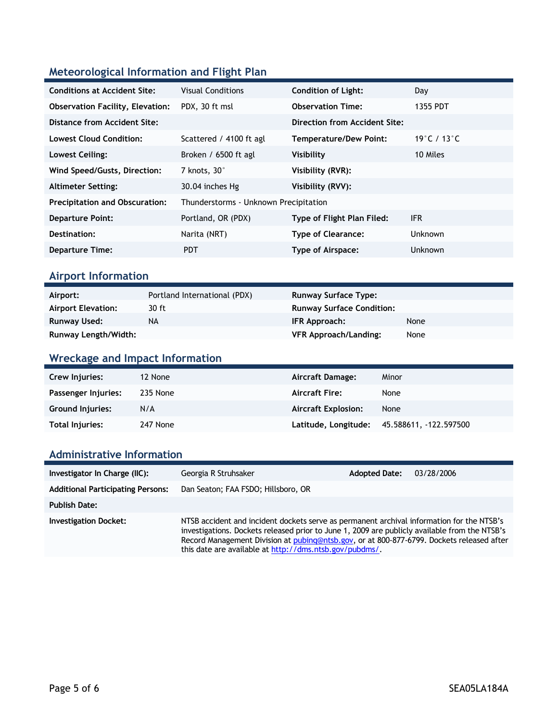## **Meteorological Information and Flight Plan**

| <b>Conditions at Accident Site:</b>     | <b>Visual Conditions</b>              | <b>Condition of Light:</b>    | Day                               |
|-----------------------------------------|---------------------------------------|-------------------------------|-----------------------------------|
| <b>Observation Facility, Elevation:</b> | PDX, 30 ft msl                        | <b>Observation Time:</b>      | 1355 PDT                          |
| Distance from Accident Site:            |                                       | Direction from Accident Site: |                                   |
| <b>Lowest Cloud Condition:</b>          | Scattered / 4100 ft agl               | <b>Temperature/Dew Point:</b> | 19 $^{\circ}$ C / 13 $^{\circ}$ C |
| Lowest Ceiling:                         | Broken / $6500$ ft agl                | Visibility                    | 10 Miles                          |
| Wind Speed/Gusts, Direction:            | 7 knots, 30°                          | Visibility (RVR):             |                                   |
| <b>Altimeter Setting:</b>               | 30.04 inches Hg                       | Visibility (RVV):             |                                   |
| <b>Precipitation and Obscuration:</b>   | Thunderstorms - Unknown Precipitation |                               |                                   |
| <b>Departure Point:</b>                 | Portland, OR (PDX)                    | Type of Flight Plan Filed:    | IFR.                              |
| Destination:                            | Narita (NRT)                          | <b>Type of Clearance:</b>     | <b>Unknown</b>                    |
| <b>Departure Time:</b>                  | <b>PDT</b>                            | Type of Airspace:             | <b>Unknown</b>                    |

#### **Airport Information**

| Airport:                  | Portland International (PDX) | <b>Runway Surface Type:</b>      |      |
|---------------------------|------------------------------|----------------------------------|------|
| <b>Airport Elevation:</b> | 30 ft                        | <b>Runway Surface Condition:</b> |      |
| Runway Used:              | NA                           | IFR Approach:                    | None |
| Runway Length/Width:      |                              | VFR Approach/Landing:            | None |

## **Wreckage and Impact Information**

| <b>Crew Injuries:</b>   | 12 None  | Aircraft Damage:           | Minor                 |
|-------------------------|----------|----------------------------|-----------------------|
| Passenger Injuries:     | 235 None | <b>Aircraft Fire:</b>      | None                  |
| <b>Ground Injuries:</b> | N/A      | <b>Aircraft Explosion:</b> | None                  |
| Total Injuries:         | 247 None | Latitude, Longitude:       | 45.588611, 122.597500 |

#### **Administrative Information**

| Investigator In Charge (IIC):            | Georgia R Struhsaker                                                                                                                                                                                                                                                                                                                               | <b>Adopted Date:</b> | 03/28/2006 |
|------------------------------------------|----------------------------------------------------------------------------------------------------------------------------------------------------------------------------------------------------------------------------------------------------------------------------------------------------------------------------------------------------|----------------------|------------|
| <b>Additional Participating Persons:</b> | Dan Seaton; FAA FSDO; Hillsboro, OR                                                                                                                                                                                                                                                                                                                |                      |            |
| <b>Publish Date:</b>                     |                                                                                                                                                                                                                                                                                                                                                    |                      |            |
| <b>Investigation Docket:</b>             | NTSB accident and incident dockets serve as permanent archival information for the NTSB's<br>investigations. Dockets released prior to June 1, 2009 are publicly available from the NTSB's<br>Record Management Division at pubing@ntsb.gov, or at 800-877-6799. Dockets released after<br>this date are available at http://dms.ntsb.gov/pubdms/. |                      |            |